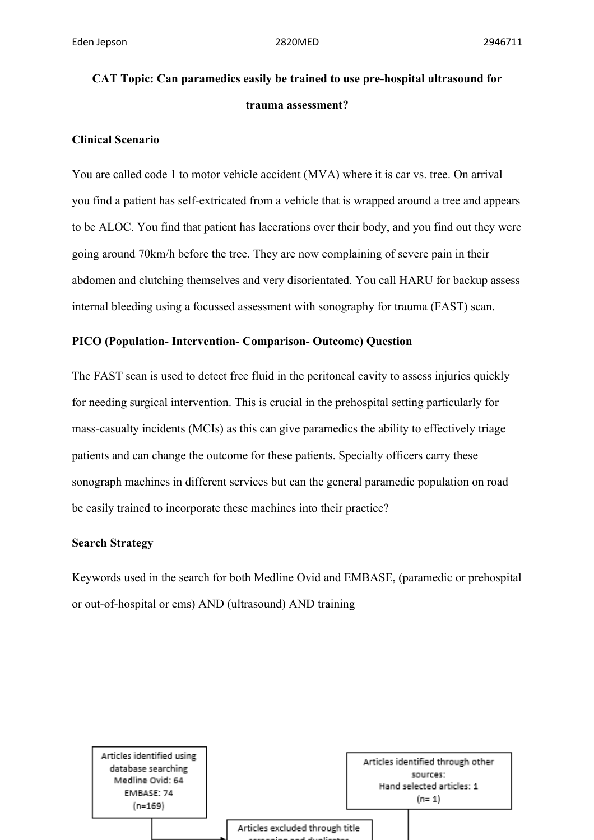# **CAT Topic: Can paramedics easily be trained to use pre-hospital ultrasound for trauma assessment?**

### **Clinical Scenario**

You are called code 1 to motor vehicle accident (MVA) where it is car vs. tree. On arrival you find a patient has self-extricated from a vehicle that is wrapped around a tree and appears to be ALOC. You find that patient has lacerations over their body, and you find out they were going around 70km/h before the tree. They are now complaining of severe pain in their abdomen and clutching themselves and very disorientated. You call HARU for backup assess internal bleeding using a focussed assessment with sonography for trauma (FAST) scan.

## **PICO (Population- Intervention- Comparison- Outcome) Question**

The FAST scan is used to detect free fluid in the peritoneal cavity to assess injuries quickly for needing surgical intervention. This is crucial in the prehospital setting particularly for mass-casualty incidents (MCIs) as this can give paramedics the ability to effectively triage patients and can change the outcome for these patients. Specialty officers carry these sonograph machines in different services but can the general paramedic population on road be easily trained to incorporate these machines into their practice?

### **Search Strategy**

Keywords used in the search for both Medline Ovid and EMBASE, (paramedic or prehospital or out-of-hospital or ems) AND (ultrasound) AND training

Articles identified using database searching Medline Ovid: 64 EMBASE: 74  $(n=169)$ 

Articles identified through other sources: Hand selected articles: 1  $(n=1)$ 

Articles excluded through title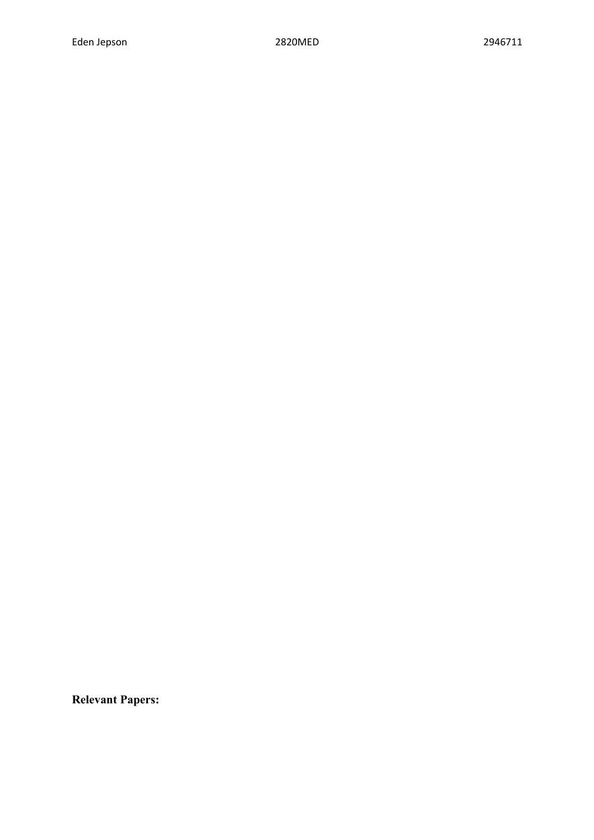**Relevant Papers:**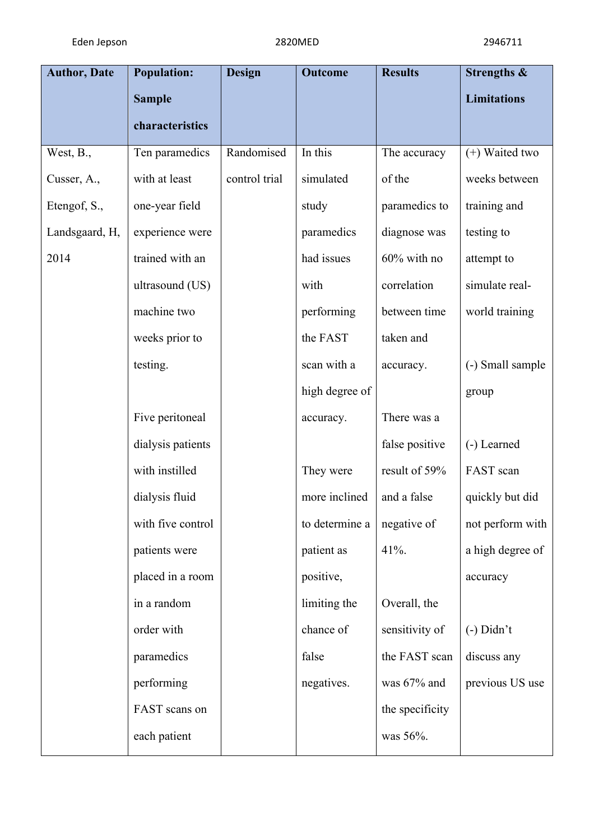| <b>Population:</b> | <b>Design</b> | <b>Outcome</b> | <b>Results</b>  | Strengths &        |
|--------------------|---------------|----------------|-----------------|--------------------|
| <b>Sample</b>      |               |                |                 | <b>Limitations</b> |
| characteristics    |               |                |                 |                    |
| Ten paramedics     | Randomised    | In this        | The accuracy    | (+) Waited two     |
| with at least      | control trial | simulated      | of the          | weeks between      |
| one-year field     |               | study          | paramedics to   | training and       |
| experience were    |               | paramedics     | diagnose was    | testing to         |
| trained with an    |               | had issues     | $60\%$ with no  | attempt to         |
| ultrasound (US)    |               | with           | correlation     | simulate real-     |
| machine two        |               | performing     | between time    | world training     |
| weeks prior to     |               | the FAST       | taken and       |                    |
| testing.           |               | scan with a    | accuracy.       | (-) Small sample   |
|                    |               | high degree of |                 | group              |
| Five peritoneal    |               | accuracy.      | There was a     |                    |
| dialysis patients  |               |                | false positive  | (-) Learned        |
| with instilled     |               | They were      | result of 59%   | FAST scan          |
| dialysis fluid     |               | more inclined  | and a false     | quickly but did    |
| with five control  |               | to determine a | negative of     | not perform with   |
| patients were      |               | patient as     | $41%$ .         | a high degree of   |
| placed in a room   |               | positive,      |                 | accuracy           |
| in a random        |               | limiting the   | Overall, the    |                    |
| order with         |               | chance of      | sensitivity of  | $(-)$ Didn't       |
| paramedics         |               | false          | the FAST scan   | discuss any        |
| performing         |               | negatives.     | was 67% and     | previous US use    |
| FAST scans on      |               |                | the specificity |                    |
|                    |               |                |                 |                    |
|                    |               |                |                 |                    |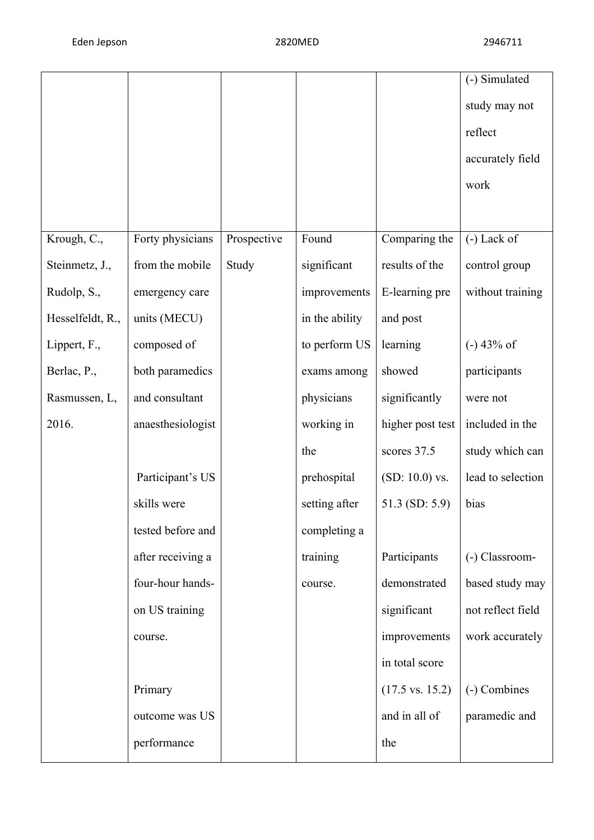|                  |                   |             |                |                            | (-) Simulated     |
|------------------|-------------------|-------------|----------------|----------------------------|-------------------|
|                  |                   |             |                |                            | study may not     |
|                  |                   |             |                |                            | reflect           |
|                  |                   |             |                |                            | accurately field  |
|                  |                   |             |                |                            | work              |
|                  |                   |             |                |                            |                   |
| Krough, C.,      | Forty physicians  | Prospective | Found          | Comparing the              | $(-)$ Lack of     |
| Steinmetz, J.,   | from the mobile   | Study       | significant    | results of the             | control group     |
| Rudolp, S.,      | emergency care    |             | improvements   | E-learning pre             | without training  |
| Hesselfeldt, R., | units (MECU)      |             | in the ability | and post                   |                   |
| Lippert, F.,     | composed of       |             | to perform US  | learning                   | $(-)$ 43% of      |
| Berlac, P.,      | both paramedics   |             | exams among    | showed                     | participants      |
| Rasmussen, L,    | and consultant    |             | physicians     | significantly              | were not          |
| 2016.            | anaesthesiologist |             | working in     | higher post test           | included in the   |
|                  |                   |             | the            | scores 37.5                | study which can   |
|                  | Participant's US  |             | prehospital    | $(SD: 10.0)$ vs.           | lead to selection |
|                  | skills were       |             | setting after  | 51.3 (SD: 5.9)             | bias              |
|                  | tested before and |             | completing a   |                            |                   |
|                  | after receiving a |             | training       | Participants               | (-) Classroom-    |
|                  | four-hour hands-  |             | course.        | demonstrated               | based study may   |
|                  | on US training    |             |                | significant                | not reflect field |
|                  | course.           |             |                | improvements               | work accurately   |
|                  |                   |             |                | in total score             |                   |
|                  | Primary           |             |                | $(17.5 \text{ vs. } 15.2)$ | (-) Combines      |
|                  | outcome was US    |             |                | and in all of              | paramedic and     |
|                  | performance       |             |                | the                        |                   |
|                  |                   |             |                |                            |                   |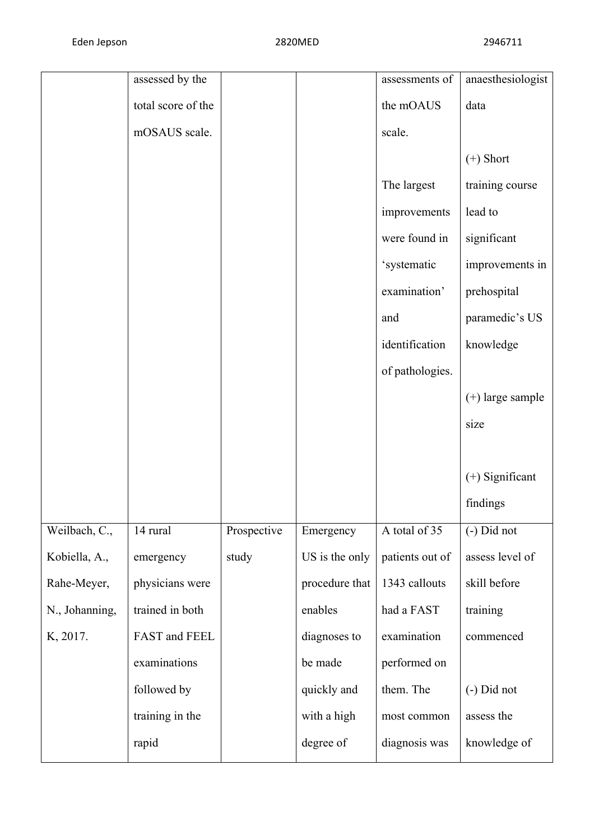|                | assessed by the    |             |                | assessments of  | anaesthesiologist  |
|----------------|--------------------|-------------|----------------|-----------------|--------------------|
|                | total score of the |             |                | the mOAUS       | data               |
|                | mOSAUS scale.      |             |                | scale.          |                    |
|                |                    |             |                |                 | $(+)$ Short        |
|                |                    |             |                | The largest     | training course    |
|                |                    |             |                | improvements    | lead to            |
|                |                    |             |                | were found in   | significant        |
|                |                    |             |                | 'systematic     | improvements in    |
|                |                    |             |                | examination'    | prehospital        |
|                |                    |             |                | and             | paramedic's US     |
|                |                    |             |                | identification  | knowledge          |
|                |                    |             |                | of pathologies. |                    |
|                |                    |             |                |                 | $(+)$ large sample |
|                |                    |             |                |                 | size               |
|                |                    |             |                |                 |                    |
|                |                    |             |                |                 | $(+)$ Significant  |
|                |                    |             |                |                 | findings           |
| Weilbach, C.,  | 14 rural           | Prospective | Emergency      | A total of 35   | (-) Did not        |
| Kobiella, A.,  | emergency          | study       | US is the only | patients out of | assess level of    |
| Rahe-Meyer,    | physicians were    |             | procedure that | 1343 callouts   | skill before       |
| N., Johanning, | trained in both    |             | enables        | had a FAST      | training           |
| K, 2017.       | FAST and FEEL      |             | diagnoses to   | examination     | commenced          |
|                | examinations       |             | be made        | performed on    |                    |
|                | followed by        |             | quickly and    | them. The       | $(-)$ Did not      |
|                | training in the    |             | with a high    | most common     | assess the         |
|                | rapid              |             | degree of      | diagnosis was   | knowledge of       |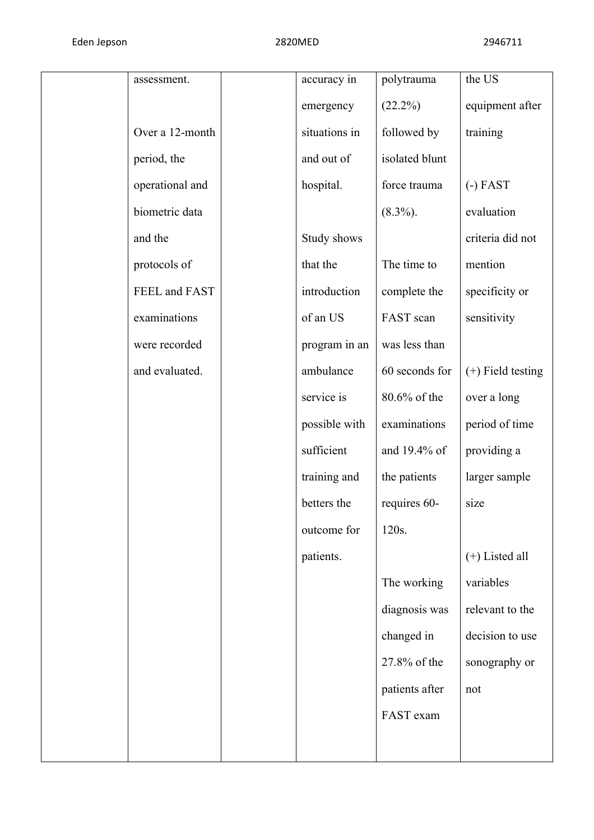| assessment.     | accuracy in   | polytrauma     | the US              |
|-----------------|---------------|----------------|---------------------|
|                 | emergency     | $(22.2\%)$     | equipment after     |
| Over a 12-month | situations in | followed by    | training            |
| period, the     | and out of    | isolated blunt |                     |
| operational and | hospital.     | force trauma   | $(-)$ FAST          |
| biometric data  |               | $(8.3\%)$ .    | evaluation          |
| and the         | Study shows   |                | criteria did not    |
| protocols of    | that the      | The time to    | mention             |
| FEEL and FAST   | introduction  | complete the   | specificity or      |
| examinations    | of an US      | FAST scan      | sensitivity         |
| were recorded   | program in an | was less than  |                     |
| and evaluated.  | ambulance     | 60 seconds for | $(+)$ Field testing |
|                 | service is    | 80.6% of the   | over a long         |
|                 | possible with | examinations   | period of time      |
|                 | sufficient    | and 19.4% of   | providing a         |
|                 | training and  | the patients   | larger sample       |
|                 | betters the   | requires 60-   | size                |
|                 | outcome for   | 120s.          |                     |
|                 | patients.     |                | $(+)$ Listed all    |
|                 |               | The working    | variables           |
|                 |               | diagnosis was  | relevant to the     |
|                 |               | changed in     | decision to use     |
|                 |               | 27.8% of the   | sonography or       |
|                 |               | patients after | not                 |
|                 |               | FAST exam      |                     |
|                 |               |                |                     |
|                 |               |                |                     |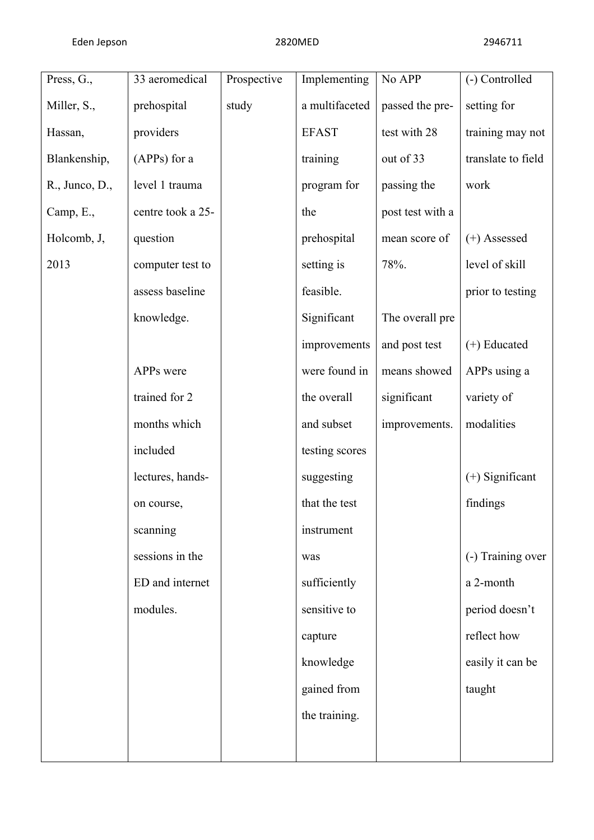| Press, G.,     | 33 aeromedical    | Prospective | Implementing   | No APP           | (-) Controlled     |
|----------------|-------------------|-------------|----------------|------------------|--------------------|
| Miller, S.,    | prehospital       | study       | a multifaceted | passed the pre-  | setting for        |
| Hassan,        | providers         |             | <b>EFAST</b>   | test with 28     | training may not   |
| Blankenship,   | (APPs) for a      |             | training       | out of 33        | translate to field |
| R., Junco, D., | level 1 trauma    |             | program for    | passing the      | work               |
| Camp, E.,      | centre took a 25- |             | the            | post test with a |                    |
| Holcomb, J,    | question          |             | prehospital    | mean score of    | $(+)$ Assessed     |
| 2013           | computer test to  |             | setting is     | 78%.             | level of skill     |
|                | assess baseline   |             | feasible.      |                  | prior to testing   |
|                | knowledge.        |             | Significant    | The overall pre  |                    |
|                |                   |             | improvements   | and post test    | $(+)$ Educated     |
|                | APPs were         |             | were found in  | means showed     | APPs using a       |
|                | trained for 2     |             | the overall    | significant      | variety of         |
|                | months which      |             | and subset     | improvements.    | modalities         |
|                | included          |             | testing scores |                  |                    |
|                | lectures, hands-  |             | suggesting     |                  | $(+)$ Significant  |
|                | on course,        |             | that the test  |                  | findings           |
|                | scanning          |             | instrument     |                  |                    |
|                | sessions in the   |             | was            |                  | (-) Training over  |
|                | ED and internet   |             | sufficiently   |                  | a 2-month          |
|                | modules.          |             | sensitive to   |                  | period doesn't     |
|                |                   |             | capture        |                  | reflect how        |
|                |                   |             | knowledge      |                  | easily it can be   |
|                |                   |             | gained from    |                  | taught             |
|                |                   |             | the training.  |                  |                    |
|                |                   |             |                |                  |                    |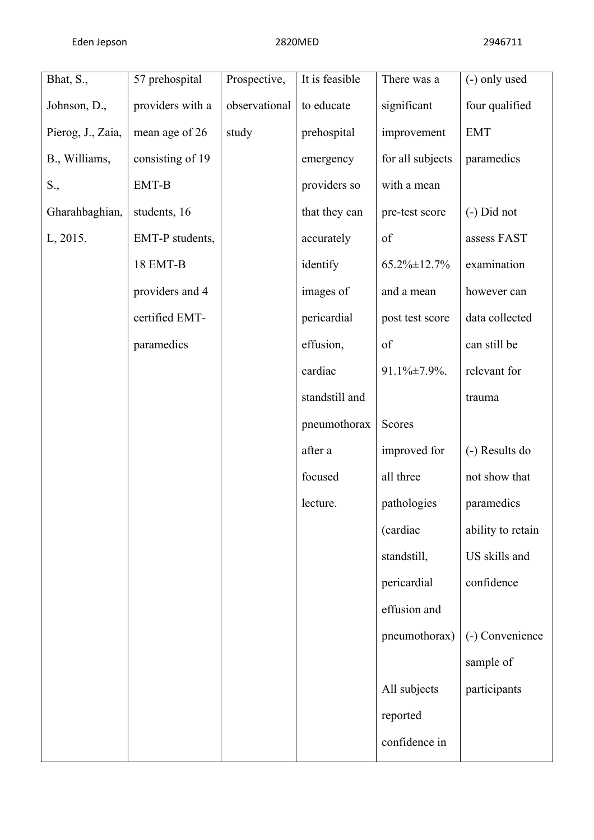| Bhat, S.,         | 57 prehospital   | Prospective,  | It is feasible | There was a      | (-) only used     |
|-------------------|------------------|---------------|----------------|------------------|-------------------|
| Johnson, D.,      | providers with a | observational | to educate     | significant      | four qualified    |
| Pierog, J., Zaia, | mean age of 26   | study         | prehospital    | improvement      | <b>EMT</b>        |
| B., Williams,     | consisting of 19 |               | emergency      | for all subjects | paramedics        |
| S.,               | EMT-B            |               | providers so   | with a mean      |                   |
| Gharahbaghian,    | students, 16     |               | that they can  | pre-test score   | $(-)$ Did not     |
| L, 2015.          | EMT-P students,  |               | accurately     | of               | assess FAST       |
|                   | 18 EMT-B         |               | identify       | 65.2% ±12.7%     | examination       |
|                   | providers and 4  |               | images of      | and a mean       | however can       |
|                   | certified EMT-   |               | pericardial    | post test score  | data collected    |
|                   | paramedics       |               | effusion,      | of               | can still be      |
|                   |                  |               | cardiac        | 91.1%±7.9%.      | relevant for      |
|                   |                  |               | standstill and |                  | trauma            |
|                   |                  |               | pneumothorax   | Scores           |                   |
|                   |                  |               | after a        | improved for     | (-) Results do    |
|                   |                  |               | focused        | all three        | not show that     |
|                   |                  |               | lecture.       | pathologies      | paramedics        |
|                   |                  |               |                | (cardiac         | ability to retain |
|                   |                  |               |                | standstill,      | US skills and     |
|                   |                  |               |                | pericardial      | confidence        |
|                   |                  |               |                | effusion and     |                   |
|                   |                  |               |                | pneumothorax)    | (-) Convenience   |
|                   |                  |               |                |                  | sample of         |
|                   |                  |               |                | All subjects     | participants      |
|                   |                  |               |                | reported         |                   |
|                   |                  |               |                | confidence in    |                   |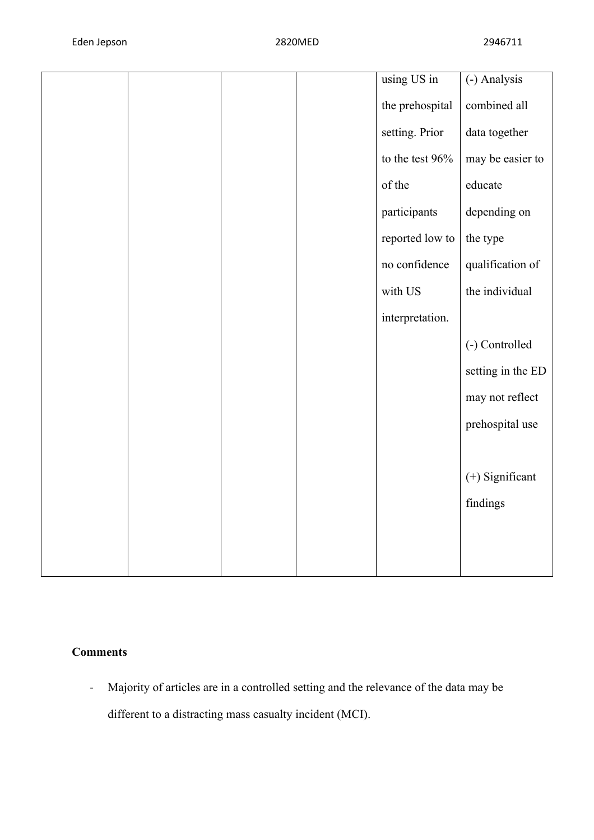|  |  | using US in       | (-) Analysis      |
|--|--|-------------------|-------------------|
|  |  |                   |                   |
|  |  | the prehospital   | combined all      |
|  |  | setting. Prior    | data together     |
|  |  | to the test $96%$ | may be easier to  |
|  |  | of the            | educate           |
|  |  | participants      | depending on      |
|  |  | reported low to   | the type          |
|  |  | no confidence     | qualification of  |
|  |  | with US           | the individual    |
|  |  | interpretation.   |                   |
|  |  |                   | (-) Controlled    |
|  |  |                   | setting in the ED |
|  |  |                   | may not reflect   |
|  |  |                   | prehospital use   |
|  |  |                   |                   |
|  |  |                   | (+) Significant   |
|  |  |                   | findings          |
|  |  |                   |                   |
|  |  |                   |                   |
|  |  |                   |                   |

# **Comments**

- Majority of articles are in a controlled setting and the relevance of the data may be different to a distracting mass casualty incident (MCI).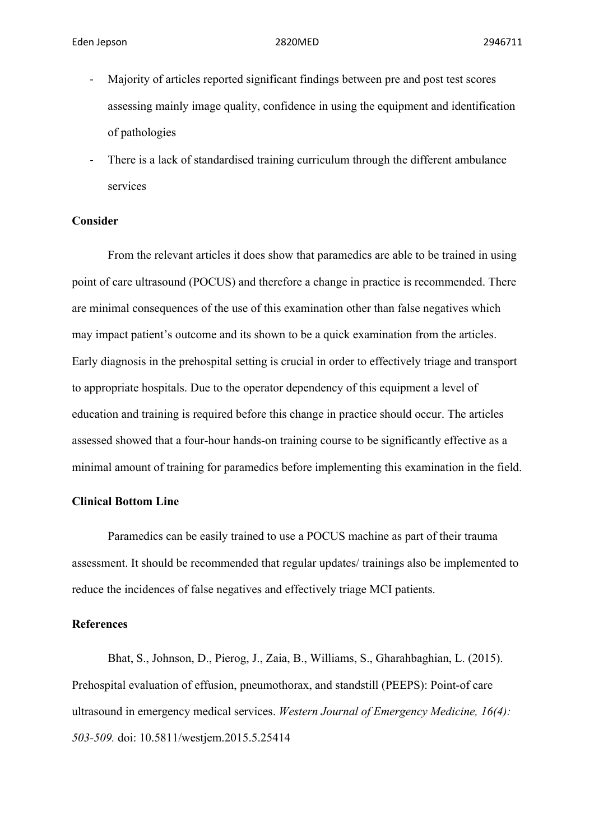- Majority of articles reported significant findings between pre and post test scores assessing mainly image quality, confidence in using the equipment and identification of pathologies
- There is a lack of standardised training curriculum through the different ambulance services

### **Consider**

From the relevant articles it does show that paramedics are able to be trained in using point of care ultrasound (POCUS) and therefore a change in practice is recommended. There are minimal consequences of the use of this examination other than false negatives which may impact patient's outcome and its shown to be a quick examination from the articles. Early diagnosis in the prehospital setting is crucial in order to effectively triage and transport to appropriate hospitals. Due to the operator dependency of this equipment a level of education and training is required before this change in practice should occur. The articles assessed showed that a four-hour hands-on training course to be significantly effective as a minimal amount of training for paramedics before implementing this examination in the field.

### **Clinical Bottom Line**

Paramedics can be easily trained to use a POCUS machine as part of their trauma assessment. It should be recommended that regular updates/ trainings also be implemented to reduce the incidences of false negatives and effectively triage MCI patients.

### **References**

Bhat, S., Johnson, D., Pierog, J., Zaia, B., Williams, S., Gharahbaghian, L. (2015). Prehospital evaluation of effusion, pneumothorax, and standstill (PEEPS): Point-of care ultrasound in emergency medical services. *Western Journal of Emergency Medicine, 16(4): 503-509.* doi: 10.5811/westjem.2015.5.25414